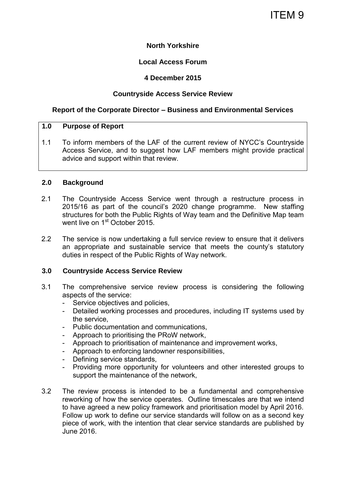# ITEM 9

# **North Yorkshire**

# **Local Access Forum**

#### **4 December 2015**

# **Countryside Access Service Review**

#### **Report of the Corporate Director – Business and Environmental Services**

#### **1.0 Purpose of Report**

1.1 To inform members of the LAF of the current review of NYCC's Countryside Access Service, and to suggest how LAF members might provide practical advice and support within that review.

#### **2.0 Background**

- 2.1 The Countryside Access Service went through a restructure process in 2015/16 as part of the council's 2020 change programme. New staffing structures for both the Public Rights of Way team and the Definitive Map team went live on 1<sup>st</sup> October 2015.
- 2.2 The service is now undertaking a full service review to ensure that it delivers an appropriate and sustainable service that meets the county's statutory duties in respect of the Public Rights of Way network.

# **3.0 Countryside Access Service Review**

- 3.1 The comprehensive service review process is considering the following aspects of the service:
	- Service objectives and policies,
	- Detailed working processes and procedures, including IT systems used by the service,
	- Public documentation and communications,
	- Approach to prioritising the PRoW network,
	- Approach to prioritisation of maintenance and improvement works,
	- Approach to enforcing landowner responsibilities,
	- Defining service standards,
	- Providing more opportunity for volunteers and other interested groups to support the maintenance of the network,
- 3.2 The review process is intended to be a fundamental and comprehensive reworking of how the service operates. Outline timescales are that we intend to have agreed a new policy framework and prioritisation model by April 2016. Follow up work to define our service standards will follow on as a second key piece of work, with the intention that clear service standards are published by June 2016.